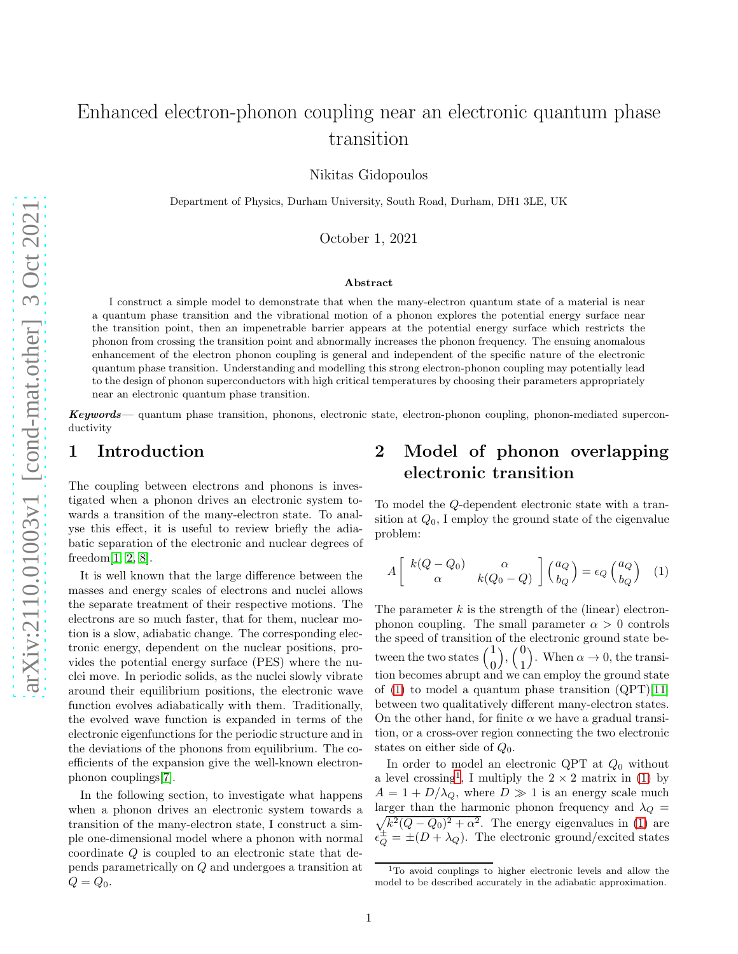# Enhanced electron-phonon coupling near an electronic quantum phase transition

Nikitas Gidopoulos

Department of Physics, Durham University, South Road, Durham, DH1 3LE, UK

October 1, 2021

#### Abstract

I construct a simple model to demonstrate that when the many-electron quantum state of a material is near a quantum phase transition and the vibrational motion of a phonon explores the potential energy surface near the transition point, then an impenetrable barrier appears at the potential energy surface which restricts the phonon from crossing the transition point and abnormally increases the phonon frequency. The ensuing anomalous enhancement of the electron phonon coupling is general and independent of the specific nature of the electronic quantum phase transition. Understanding and modelling this strong electron-phonon coupling may potentially lead to the design of phonon superconductors with high critical temperatures by choosing their parameters appropriately near an electronic quantum phase transition.

Keywords— quantum phase transition, phonons, electronic state, electron-phonon coupling, phonon-mediated superconductivity

#### 1 Introduction

The coupling between electrons and phonons is investigated when a phonon drives an electronic system towards a transition of the many-electron state. To analyse this effect, it is useful to review briefly the adiabatic separation of the electronic and nuclear degrees of freedom[\[1,](#page-3-0) [2,](#page-3-1) [8\]](#page-3-2).

It is well known that the large difference between the masses and energy scales of electrons and nuclei allows the separate treatment of their respective motions. The electrons are so much faster, that for them, nuclear motion is a slow, adiabatic change. The corresponding electronic energy, dependent on the nuclear positions, provides the potential energy surface (PES) where the nuclei move. In periodic solids, as the nuclei slowly vibrate around their equilibrium positions, the electronic wave function evolves adiabatically with them. Traditionally, the evolved wave function is expanded in terms of the electronic eigenfunctions for the periodic structure and in the deviations of the phonons from equilibrium. The coefficients of the expansion give the well-known electronphonon couplings[\[7\]](#page-3-3).

In the following section, to investigate what happens when a phonon drives an electronic system towards a transition of the many-electron state, I construct a simple one-dimensional model where a phonon with normal coordinate Q is coupled to an electronic state that depends parametrically on Q and undergoes a transition at  $Q = Q_0$ .

### 2 Model of phonon overlapping electronic transition

To model the Q-dependent electronic state with a transition at  $Q_0$ , I employ the ground state of the eigenvalue problem:

<span id="page-0-0"></span>
$$
A\left[\begin{array}{cc}k(Q-Q_0) & \alpha \\ \alpha & k(Q_0-Q)\end{array}\right]\begin{pmatrix}a_Q \\ b_Q\end{pmatrix} = \epsilon_Q \begin{pmatrix}a_Q \\ b_Q\end{pmatrix} \quad (1)
$$

The parameter  $k$  is the strength of the (linear) electronphonon coupling. The small parameter  $\alpha > 0$  controls the speed of transition of the electronic ground state between the two states  $\begin{pmatrix} 1 \\ 0 \end{pmatrix}$  $\big)$ ,  $\big( \frac{0}{1} \big)$ 1 ). When  $\alpha \to 0$ , the transition becomes abrupt and we can employ the ground state of  $(1)$  to model a quantum phase transition  $(QPT)[11]$  $(QPT)[11]$ between two qualitatively different many-electron states. On the other hand, for finite  $\alpha$  we have a gradual transition, or a cross-over region connecting the two electronic states on either side of  $Q_0$ .

In order to model an electronic QPT at  $Q_0$  without a level crossing<sup>[1](#page-0-1)</sup>, I multiply the  $2 \times 2$  matrix in [\(1\)](#page-0-0) by  $A = 1 + D/\lambda_Q$ , where  $D \gg 1$  is an energy scale much larger than the harmonic phonon frequency and  $\lambda_Q =$  $\sqrt{k^2(Q - Q_0)^2 + \alpha^2}$ . The energy eigenvalues in [\(1\)](#page-0-0) are  $\epsilon_{Q}^{\pm} = \pm (D + \lambda_{Q})$ . The electronic ground/excited states

<span id="page-0-1"></span><sup>&</sup>lt;sup>1</sup>To avoid couplings to higher electronic levels and allow the model to be described accurately in the adiabatic approximation.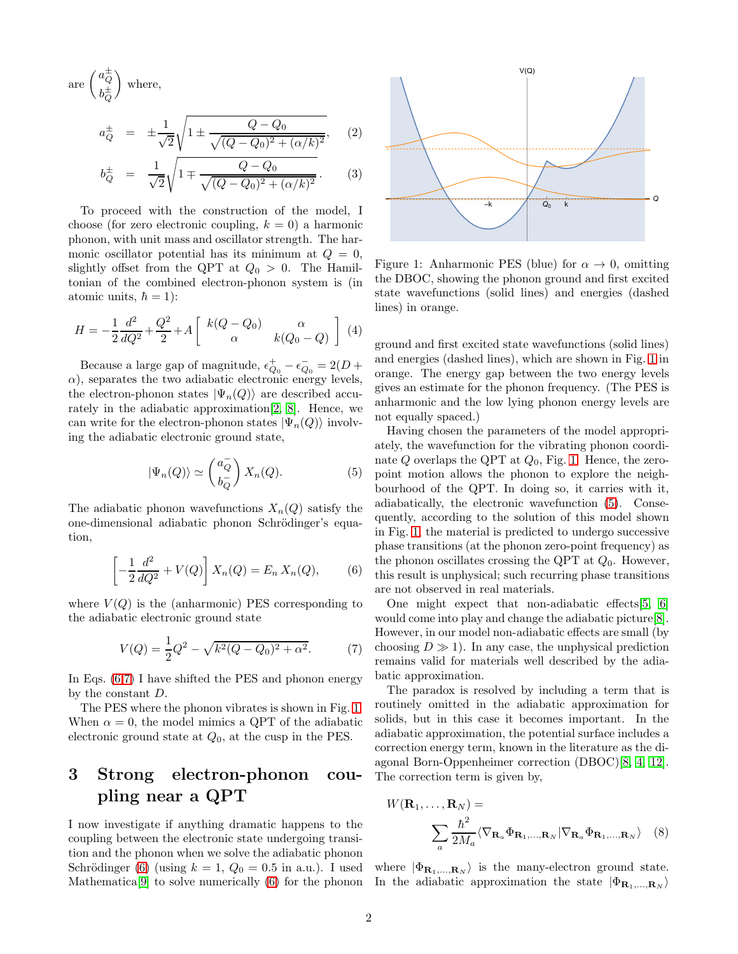are 
$$
\begin{pmatrix} a_Q^{\pm} \\ b_Q^{\pm} \end{pmatrix}
$$
 where,

<span id="page-1-5"></span>
$$
a_Q^{\pm} = \pm \frac{1}{\sqrt{2}} \sqrt{1 \pm \frac{Q - Q_0}{\sqrt{(Q - Q_0)^2 + (\alpha/k)^2}}}, \quad (2)
$$

$$
b_Q^{\pm} = \frac{1}{\sqrt{2}} \sqrt{1 \mp \frac{Q - Q_0}{\sqrt{(Q - Q_0)^2 + (\alpha/k)^2}}}.
$$
 (3)

To proceed with the construction of the model, I choose (for zero electronic coupling,  $k = 0$ ) a harmonic phonon, with unit mass and oscillator strength. The harmonic oscillator potential has its minimum at  $Q = 0$ , slightly offset from the QPT at  $Q_0 > 0$ . The Hamiltonian of the combined electron-phonon system is (in atomic units,  $\hbar = 1$ :

$$
H = -\frac{1}{2}\frac{d^2}{dQ^2} + \frac{Q^2}{2} + A \left[ \begin{array}{cc} k(Q - Q_0) & \alpha \\ \alpha & k(Q_0 - Q) \end{array} \right] (4)
$$

Because a large gap of magnitude,  $\epsilon_{Q_0}^+-\epsilon_Q^ Q_0 = 2(D +$  $\alpha$ ), separates the two adiabatic electronic energy levels, the electron-phonon states  $|\Psi_n(Q)\rangle$  are described accurately in the adiabatic approximation[\[2,](#page-3-1) [8\]](#page-3-2). Hence, we can write for the electron-phonon states  $|\Psi_n(Q)\rangle$  involving the adiabatic electronic ground state,

$$
|\Psi_n(Q)\rangle \simeq \binom{a_Q^-}{b_Q^-} X_n(Q). \tag{5}
$$

The adiabatic phonon wavefunctions  $X_n(Q)$  satisfy the one-dimensional adiabatic phonon Schrödinger's equation,

<span id="page-1-0"></span>
$$
\left[-\frac{1}{2}\frac{d^2}{dQ^2} + V(Q)\right]X_n(Q) = E_n X_n(Q),\tag{6}
$$

where  $V(Q)$  is the (anharmonic) PES corresponding to the adiabatic electronic ground state

$$
V(Q) = \frac{1}{2}Q^2 - \sqrt{k^2(Q - Q_0)^2 + \alpha^2}.
$$
 (7)

In Eqs. [\(6](#page-1-0)[,7\)](#page-1-1) I have shifted the PES and phonon energy by the constant D.

The PES where the phonon vibrates is shown in Fig. [1.](#page-1-2) When  $\alpha = 0$ , the model mimics a QPT of the adiabatic electronic ground state at  $Q_0$ , at the cusp in the PES.

## 3 Strong electron-phonon coupling near a QPT

I now investigate if anything dramatic happens to the coupling between the electronic state undergoing transition and the phonon when we solve the adiabatic phonon Schrödinger [\(6\)](#page-1-0) (using  $k = 1$ ,  $Q_0 = 0.5$  in a.u.). I used



<span id="page-1-2"></span>Figure 1: Anharmonic PES (blue) for  $\alpha \to 0$ , omitting the DBOC, showing the phonon ground and first excited state wavefunctions (solid lines) and energies (dashed lines) in orange.

ground and first excited state wavefunctions (solid lines) and energies (dashed lines), which are shown in Fig. [1](#page-1-2) in orange. The energy gap between the two energy levels gives an estimate for the phonon frequency. (The PES is anharmonic and the low lying phonon energy levels are not equally spaced.)

<span id="page-1-3"></span>Having chosen the parameters of the model appropriately, the wavefunction for the vibrating phonon coordinate  $Q$  overlaps the QPT at  $Q_0$ , Fig. [1.](#page-1-2) Hence, the zeropoint motion allows the phonon to explore the neighbourhood of the QPT. In doing so, it carries with it, adiabatically, the electronic wavefunction [\(5\)](#page-1-3). Consequently, according to the solution of this model shown in Fig. [1,](#page-1-2) the material is predicted to undergo successive phase transitions (at the phonon zero-point frequency) as the phonon oscillates crossing the QPT at  $Q_0$ . However, this result is unphysical; such recurring phase transitions are not observed in real materials.

<span id="page-1-1"></span>One might expect that non-adiabatic effects[\[5,](#page-3-6) [6\]](#page-3-7) would come into play and change the adiabatic picture[\[8\]](#page-3-2). However, in our model non-adiabatic effects are small (by choosing  $D \gg 1$ ). In any case, the unphysical prediction remains valid for materials well described by the adiabatic approximation.

The paradox is resolved by including a term that is routinely omitted in the adiabatic approximation for solids, but in this case it becomes important. In the adiabatic approximation, the potential surface includes a correction energy term, known in the literature as the diagonal Born-Oppenheimer correction (DBOC)[\[8,](#page-3-2) [4,](#page-3-8) [12\]](#page-3-9). The correction term is given by,

<span id="page-1-4"></span>
$$
W(\mathbf{R}_1, ..., \mathbf{R}_N) = \sum_{a} \frac{\hbar^2}{2M_a} \langle \nabla_{\mathbf{R}_a} \Phi_{\mathbf{R}_1, ..., \mathbf{R}_N} | \nabla_{\mathbf{R}_a} \Phi_{\mathbf{R}_1, ..., \mathbf{R}_N} \rangle
$$
 (8)

Mathematica<sup>[\[9\]](#page-3-5)</sup> to solve numerically [\(6\)](#page-1-0) for the phonon In the adiabatic approximation the state  $|\Phi_{\mathbf{R}_1,...,\mathbf{R}_N}\rangle$ where  $|\Phi_{\mathbf{R}_1,...,\mathbf{R}_N}\rangle$  is the many-electron ground state.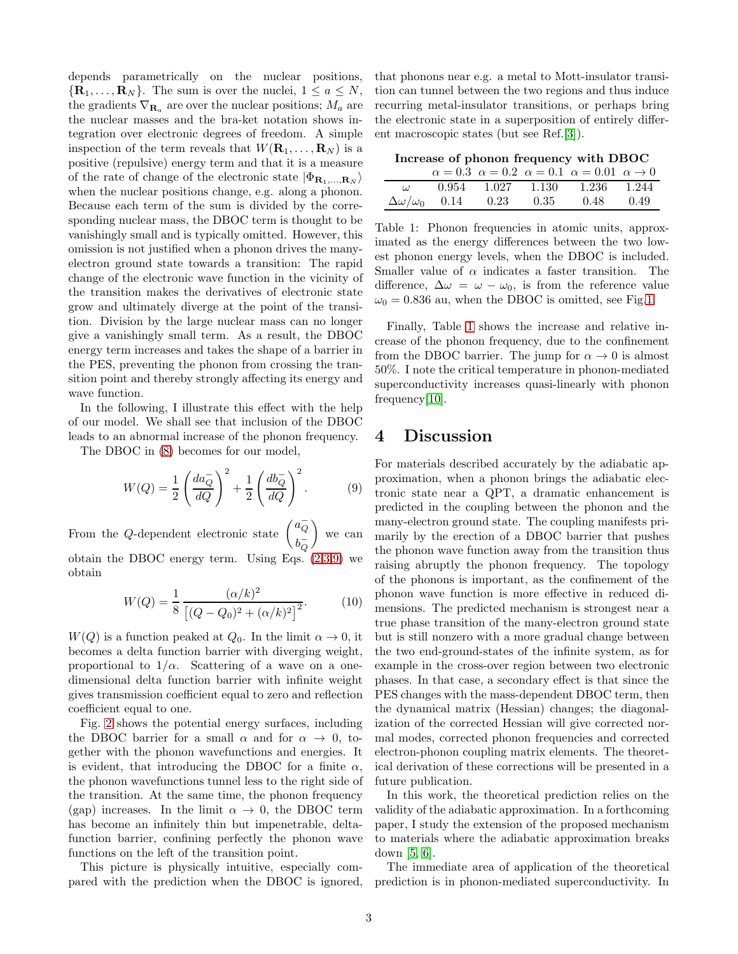depends parametrically on the nuclear positions,  $\{R_1, \ldots, R_N\}$ . The sum is over the nuclei,  $1 \le a \le N$ , the gradients  $\nabla_{\mathbf{R}_a}$  are over the nuclear positions;  $M_a$  are the nuclear masses and the bra-ket notation shows integration over electronic degrees of freedom. A simple inspection of the term reveals that  $W(\mathbf{R}_1, \ldots, \mathbf{R}_N)$  is a positive (repulsive) energy term and that it is a measure of the rate of change of the electronic state  $|\Phi_{\mathbf{R}_1,...,\mathbf{R}_N}\rangle$ when the nuclear positions change, e.g. along a phonon. Because each term of the sum is divided by the corresponding nuclear mass, the DBOC term is thought to be vanishingly small and is typically omitted. However, this omission is not justified when a phonon drives the manyelectron ground state towards a transition: The rapid change of the electronic wave function in the vicinity of the transition makes the derivatives of electronic state grow and ultimately diverge at the point of the transition. Division by the large nuclear mass can no longer give a vanishingly small term. As a result, the DBOC energy term increases and takes the shape of a barrier in the PES, preventing the phonon from crossing the transition point and thereby strongly affecting its energy and wave function.

In the following, I illustrate this effect with the help of our model. We shall see that inclusion of the DBOC leads to an abnormal increase of the phonon frequency.

The DBOC in [\(8\)](#page-1-4) becomes for our model,

$$
W(Q) = \frac{1}{2} \left( \frac{da_{Q}^{-}}{dQ} \right)^{2} + \frac{1}{2} \left( \frac{db_{Q}^{-}}{dQ} \right)^{2}.
$$
 (9)

From the Q-dependent electronic state  $\begin{pmatrix} a\bar{Q} & b\bar{Q} & c\bar{Q} & d\bar{Q} & d\bar{Q} & d\bar{Q} & d\bar{Q} & d\bar{Q} & d\bar{Q} & d\bar{Q} & d\bar{Q} & d\bar{Q} & d\bar{Q} & d\bar{Q} & d\bar{Q} & d\bar{Q} & d\bar{Q} & d\bar{Q} & d\bar{Q} & d\bar{Q} & d\bar{Q} & d\bar{Q} & d\bar{Q} & d\bar{Q} & d\bar{Q} & d$ Q  $b_{\overline{O}}^-$ Q  $\Big)$  we can obtain the DBOC energy term. Using Eqs.  $(2,3,9)$  $(2,3,9)$  we obtain

$$
W(Q) = \frac{1}{8} \frac{(\alpha/k)^2}{\left[ (Q - Q_0)^2 + (\alpha/k)^2 \right]^2}.
$$
 (10)

 $W(Q)$  is a function peaked at  $Q_0$ . In the limit  $\alpha \to 0$ , it becomes a delta function barrier with diverging weight, proportional to  $1/\alpha$ . Scattering of a wave on a onedimensional delta function barrier with infinite weight gives transmission coefficient equal to zero and reflection coefficient equal to one.

Fig. [2](#page-3-10) shows the potential energy surfaces, including the DBOC barrier for a small  $\alpha$  and for  $\alpha \rightarrow 0$ , together with the phonon wavefunctions and energies. It is evident, that introducing the DBOC for a finite  $\alpha$ , the phonon wavefunctions tunnel less to the right side of the transition. At the same time, the phonon frequency (gap) increases. In the limit  $\alpha \to 0$ , the DBOC term has become an infinitely thin but impenetrable, deltafunction barrier, confining perfectly the phonon wave functions on the left of the transition point.

This picture is physically intuitive, especially compared with the prediction when the DBOC is ignored, that phonons near e.g. a metal to Mott-insulator transition can tunnel between the two regions and thus induce recurring metal-insulator transitions, or perhaps bring the electronic state in a superposition of entirely different macroscopic states (but see Ref.[\[3\]](#page-3-11)).

Increase of phonon frequency with DBOC

|  |  | $\alpha = 0.3 \ \alpha = 0.2 \ \alpha = 0.1 \ \alpha = 0.01 \ \alpha \rightarrow 0$ |  |
|--|--|-------------------------------------------------------------------------------------|--|
|  |  | $\omega$ 0.954 1.027 1.130 1.236 1.244                                              |  |
|  |  | $\Delta\omega/\omega_0$ 0.14 0.23 0.35 0.48 0.49                                    |  |

<span id="page-2-1"></span>Table 1: Phonon frequencies in atomic units, approximated as the energy differences between the two lowest phonon energy levels, when the DBOC is included. Smaller value of  $\alpha$  indicates a faster transition. The difference,  $\Delta \omega = \omega - \omega_0$ , is from the reference value  $\omega_0 = 0.836$  au, when the DBOC is omitted, see Fig[.1.](#page-1-2)

Finally, Table [1](#page-2-1) shows the increase and relative increase of the phonon frequency, due to the confinement from the DBOC barrier. The jump for  $\alpha \to 0$  is almost 50%. I note the critical temperature in phonon-mediated superconductivity increases quasi-linearly with phonon frequency[\[10\]](#page-3-12).

#### 4 Discussion

<span id="page-2-0"></span>For materials described accurately by the adiabatic approximation, when a phonon brings the adiabatic electronic state near a QPT, a dramatic enhancement is predicted in the coupling between the phonon and the many-electron ground state. The coupling manifests primarily by the erection of a DBOC barrier that pushes the phonon wave function away from the transition thus raising abruptly the phonon frequency. The topology of the phonons is important, as the confinement of the phonon wave function is more effective in reduced dimensions. The predicted mechanism is strongest near a true phase transition of the many-electron ground state but is still nonzero with a more gradual change between the two end-ground-states of the infinite system, as for example in the cross-over region between two electronic phases. In that case, a secondary effect is that since the PES changes with the mass-dependent DBOC term, then the dynamical matrix (Hessian) changes; the diagonalization of the corrected Hessian will give corrected normal modes, corrected phonon frequencies and corrected electron-phonon coupling matrix elements. The theoretical derivation of these corrections will be presented in a future publication.

In this work, the theoretical prediction relies on the validity of the adiabatic approximation. In a forthcoming paper, I study the extension of the proposed mechanism to materials where the adiabatic approximation breaks down [\[5,](#page-3-6) [6\]](#page-3-7).

The immediate area of application of the theoretical prediction is in phonon-mediated superconductivity. In